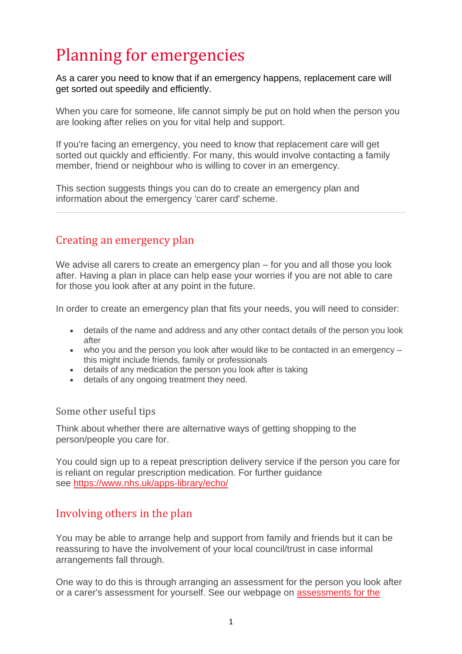# Planning for emergencies

As a carer you need to know that if an emergency happens, replacement care will get sorted out speedily and efficiently.

When you care for someone, life cannot simply be put on hold when the person you are looking after relies on you for vital help and support.

If you're facing an emergency, you need to know that replacement care will get sorted out quickly and efficiently. For many, this would involve contacting a family member, friend or neighbour who is willing to cover in an emergency.

This section suggests things you can do to create an emergency plan and information about the emergency 'carer card' scheme.

## Creating an emergency plan

We advise all carers to create an emergency plan – for you and all those you look after. Having a plan in place can help ease your worries if you are not able to care for those you look after at any point in the future.

In order to create an emergency plan that fits your needs, you will need to consider:

- details of the name and address and any other contact details of the person you look after
- who you and the person you look after would like to be contacted in an emergency this might include friends, family or professionals
- details of any medication the person you look after is taking
- details of any ongoing treatment they need.

#### Some other useful tips

Think about whether there are alternative ways of getting shopping to the person/people you care for.

You could sign up to a repeat prescription delivery service if the person you care for is reliant on regular prescription medication. For further guidance see <https://www.nhs.uk/apps-library/echo/>

### Involving others in the plan

You may be able to arrange help and support from family and friends but it can be reassuring to have the involvement of your local council/trust in case informal arrangements fall through.

One way to do this is through arranging an assessment for the person you look after or a carer's assessment for yourself. See our webpage on [assessments for the](https://www.carersuk.org/help-and-advice/practical-support/getting-care-and-support/needs-assessment)